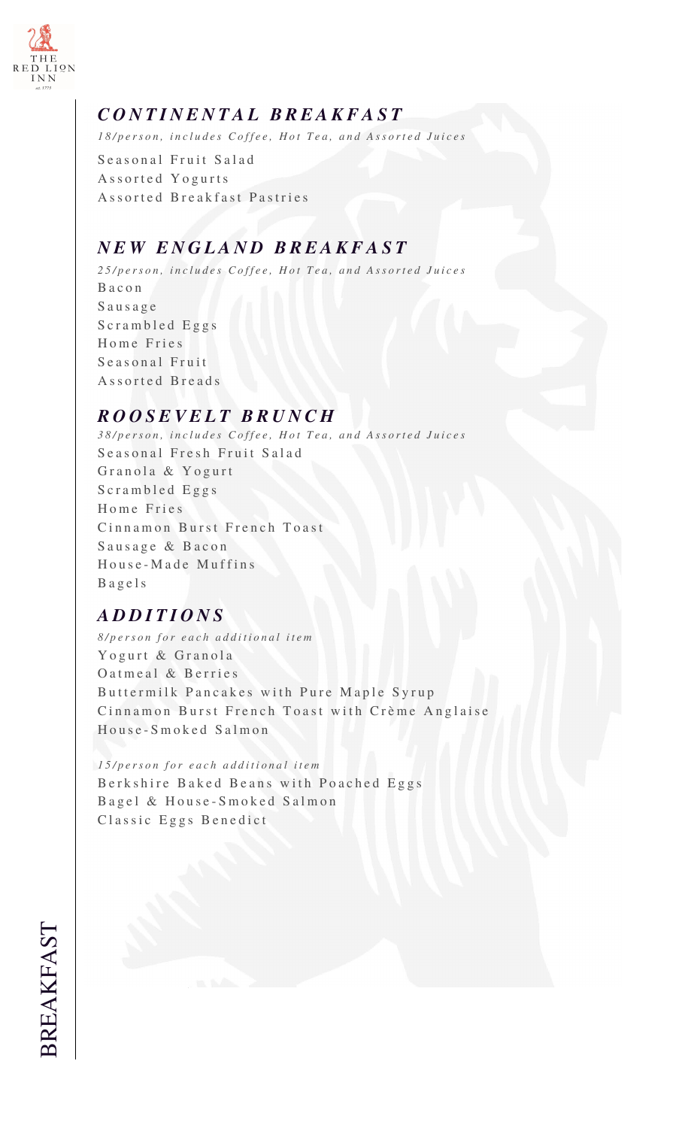

## *C O N T I N E N T A L B R E A K F A S T*

*18/person, includes Coffee, Hot Tea, and Assorted Juices* 

Seasonal Fruit Salad Assorted Yogurts Assorted Breakfast Pastries

## *N E W E N G L A N D B R E A K F A S T*

*2 5 / p e r s o n , i n c l u d e s C o f f e e , H o t T e a , a n d A s s o r t e d J u i c e s* B a c o n S a u s a g e Scrambled Eggs Home Fries Seasonal Fruit Assorted Breads

## *R O O S E V E L T B R U N C H*

*3 8 / p e r s o n , i n c l u d e s C o f f e e , H o t T e a , a n d A s s o r t e d J u i c e s* Seasonal Fresh Fruit Salad Granola & Yogurt Scrambled Eggs Home Fries Cinnamon Burst French Toast Sausage & Bacon House-Made Muffins B a g e l s

## *A D D I T I O N S*

*8 / p e r s o n f o r e a c h a d d i t i o n a l i t e m* Yogurt & Granola O atmeal & Berries Buttermilk Pancakes with Pure Maple Syrup Cinnamon Burst French Toast with Crème Anglaise House-Smoked Salmon

*1 5 / p e r s o n f o r e a c h a d d i t i o n a l i t e m* Berkshire Baked Beans with Poached Eggs Bagel & House-Smoked Salmon Classic Eggs Benedict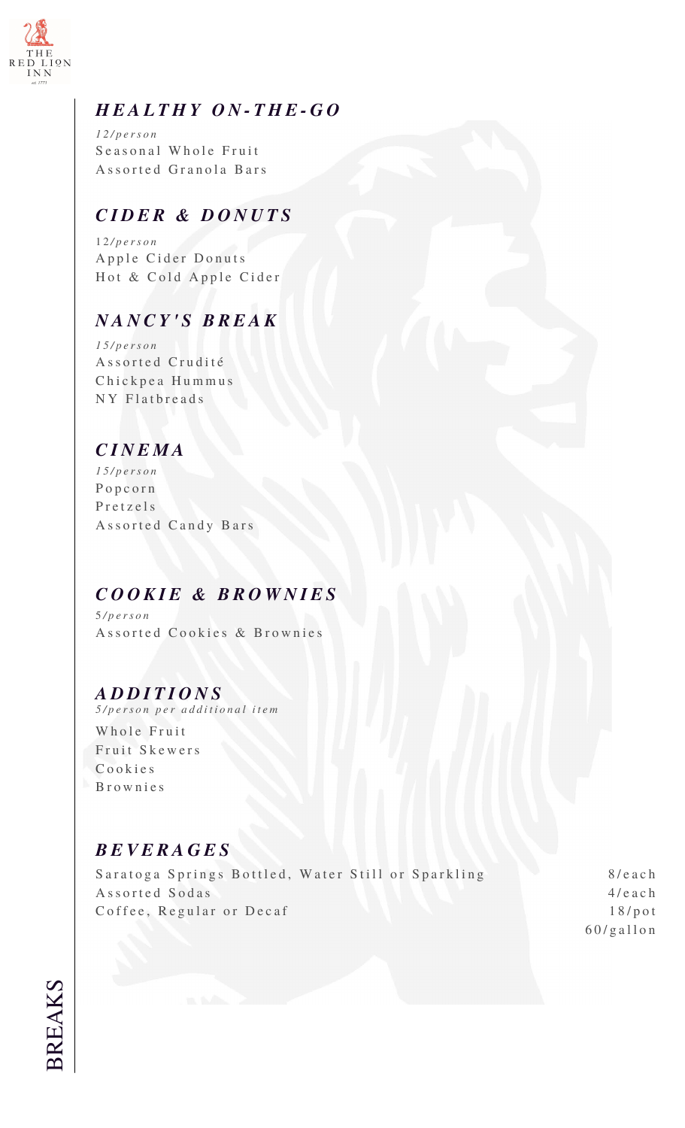

#### *H E A L T H Y O N - T H E - G O*

*1 2 / p e r s o n* Seasonal Whole Fruit Assorted Granola Bars

#### *C I D E R & D O N U T S*

1 2 */ p e r s o n* Apple Cider Donuts Hot & Cold Apple Cider

## *N A N C Y ' S B R E A K*

*1 5 / p e r s o n* Assorted Crudité Chickpea Hummus NY Flatbreads

#### *C I N E M A*

*1 5 / p e r s o n* P o p c o r n Pretzels Assorted Candy Bars

#### *C O O K I E & B R O W N I E S*

5 */ p e r s o n* Assorted Cookies & Brownies

#### *A D D I T I O N S*

*5 / p e r s o n p e r a d d i t i o n a l i t e m*

Whole Fruit Fruit Skewers C o o k i e s B r o w n i e s

#### *B E V E R A G E S*

Saratoga Springs Bottled, Water Still or Sparkling Assorted Sodas Coffee, Regular or Decaf

8 / e a c h 4 / e a c h 1 8 / p o t 6 0 / g a l l o n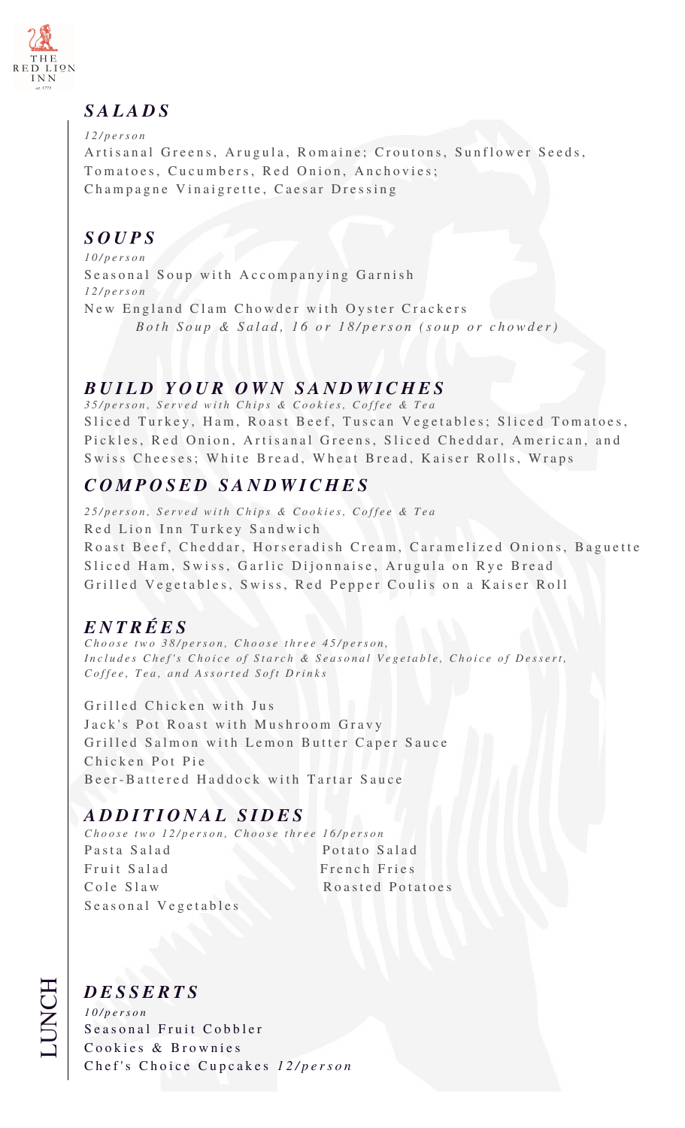

## *S A L A D S*

*1 2 / p e r s o n* Artisanal Greens, Arugula, Romaine; Croutons, Sunflower Seeds, Tomatoes, Cucumbers, Red Onion, Anchovies; Champagne Vinaigrette, Caesar Dressing

# *S O U P S*

*1 0 / p e r s o n* Seasonal Soup with Accompanying Garnish *1 2 / p e r s o n* New England Clam Chowder with Oyster Crackers *Both Soup & Salad, 16 or 18/person (soup or chowder)* 

## *B U I L D Y O U R O W N S A N D W I C H E S*

*3 5 / p e r s o n , S e r v e d w i t h C h i p s & C o o k i e s , C o f f e e & T e a* Sliced Turkey, Ham, Roast Beef, Tuscan Vegetables; Sliced Tomatoes, Pickles, Red Onion, Artisanal Greens, Sliced Cheddar, American, and Swiss Cheeses; White Bread, Wheat Bread, Kaiser Rolls, Wraps

# *C O M P O S E D S A N D W I C H E S*

*2 5 / p e r s o n , S e r v e d w i t h C h i p s & C o o k i e s , C o f f e e & T e a* Red Lion Inn Turkey Sandwich Roast Beef, Cheddar, Horseradish Cream, Caramelized Onions, Baguette Sliced Ham, Swiss, Garlic Dijonnaise, Arugula on Rye Bread Grilled Vegetables, Swiss, Red Pepper Coulis on a Kaiser Roll

# *E N T R É E S*

*Choose two 38/person, Choose three 45/person, Includes Chef's Choice of Starch & Seasonal Vegetable, Choice of Dessert, Coffee, Tea, and Assorted Soft Drinks* 

Grilled Chicken with Jus Jack's Pot Roast with Mushroom Gravy Grilled Salmon with Lemon Butter Caper Sauce Chicken Pot Pie Beer-Battered Haddock with Tartar Sauce

# *A D D I T I O N A L S I D E S*

*Choose two 12/person, Choose three 16/person* Pasta Salad Potato Salad Fruit Salad French Fries Cole Slaw Roasted Potatoes Seasonal Vegetables

#### *D E S S E R T S*

*1 0 / p e r s o n* Seasonal Fruit Cobbler Cookies & Brownies Chef's Choice Cupcakes 12/person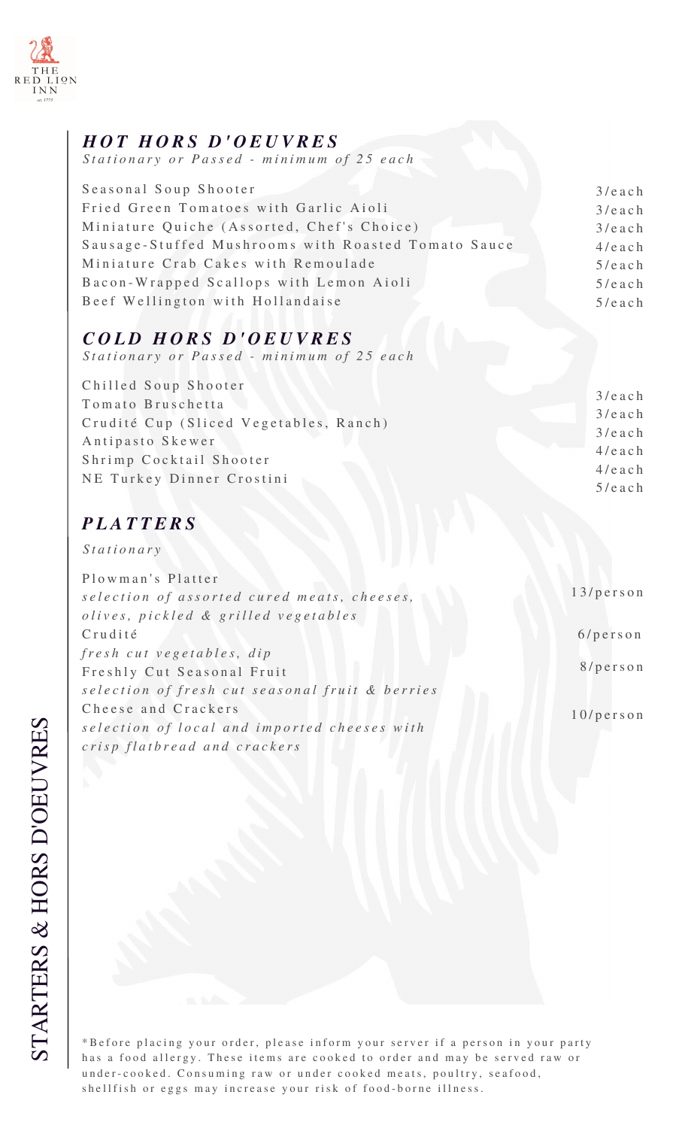

#### *H O T H O R S D ' O E U V R E S*

Stationary or Passed - minimum of 25 each

| $3/$ each |
|-----------|
| $3/$ each |
| $3/$ each |
| $4/$ each |
| $5/$ each |
| $5/$ each |
| $5/$ each |
|           |

## *C O L D H O R S D ' O E U V R E S*

Stationary or Passed - minimum of 25 each

| Chilled Soup Shooter                   |           |
|----------------------------------------|-----------|
| Tomato Bruschetta                      | $3/$ each |
| Crudité Cup (Sliced Vegetables, Ranch) | $3/$ each |
|                                        | $3/$ each |
| Antipasto Skewer                       | $4/$ each |
| Shrimp Cocktail Shooter                | $4/$ each |
| NE Turkey Dinner Crostini              | $5/$ each |
|                                        |           |

## *P L A T T E R S*

*S t a t i o n a r y*

| Plowman's Platter                               |           |
|-------------------------------------------------|-----------|
| selection of assorted cured meats, cheeses,     | 13/person |
| olives, pickled & grilled vegetables            |           |
| Crudité                                         | 6/person  |
| fresh cut vegetables, dip                       |           |
| Freshly Cut Seasonal Fruit                      | 8/person  |
| selection of fresh cut seasonal fruit & berries |           |
| Cheese and Crackers                             | 10/person |
| selection of local and imported cheeses with    |           |
| crisp flatbread and crackers                    |           |

\*Before placing your order, please inform your server if a person in your party has a food allergy. These items are cooked to order and may be served raw or under-cooked. Consuming raw or under cooked meats, poultry, seafood, shellfish or eggs may increase your risk of food-borne illness.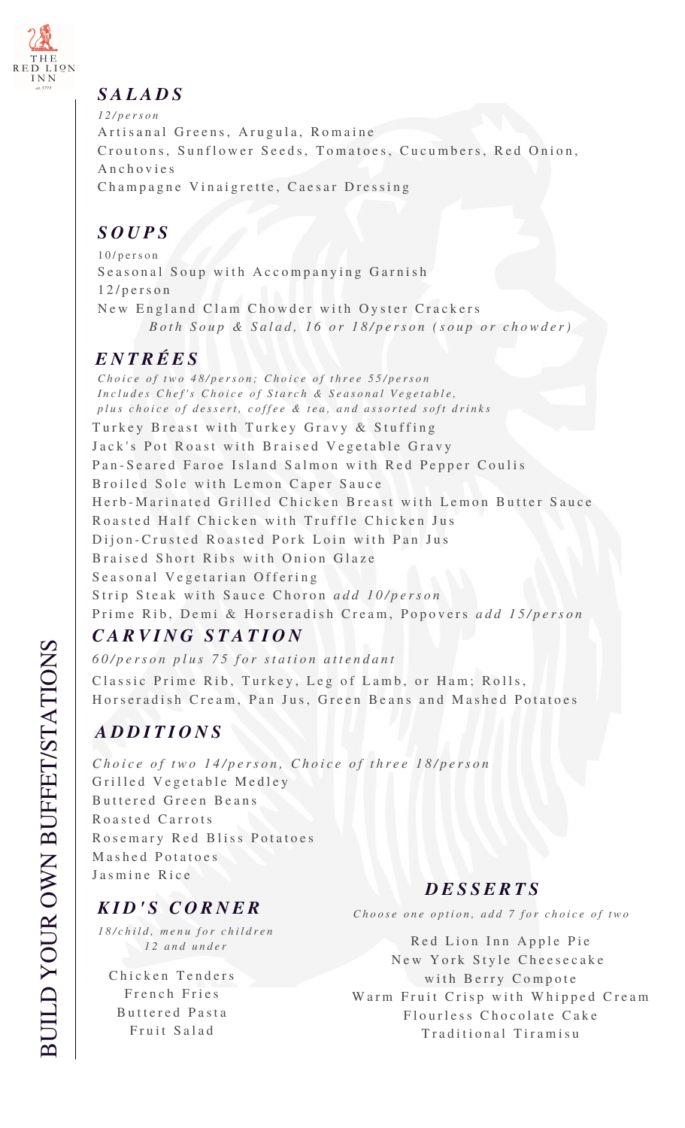

#### *S A L A D S*

*1 2 / p e r s o n* Artisanal Greens, Arugula, Romaine Croutons, Sunflower Seeds, Tomatoes, Cucumbers, Red Onion, A n c h o v i e s Champagne Vinaigrette, Caesar Dressing

## *S O U P S*

 $10$ /person Seasonal Soup with Accompanying Garnish  $12 / p$  erson New England Clam Chowder with Oyster Crackers *Both Soup & Salad, 16 or 18/person (soup or chowder)* 

# *E N T R É E S*

Turkey Breast with Turkey Gravy & Stuffing Jack's Pot Roast with Braised Vegetable Gravy Pan-Seared Faroe Island Salmon with Red Pepper Coulis Broiled Sole with Lemon Caper Sauce Herb-Marinated Grilled Chicken Breast with Lemon Butter Sauce Roasted Half Chicken with Truffle Chicken Jus Dijon-Crusted Roasted Pork Loin with Pan Jus Braised Short Ribs with Onion Glaze Seasonal Vegetarian Offering Strip Steak with Sauce Choron *add 10/person* Prime Rib, Demi & Horseradish Cream, Popovers add 15/person *Choice of two 48/person; Choice of three 55/person Includes Chef's Choice of Starch & Seasonal Vegetable, plus choice of dessert, coffee & tea, and assorted soft drinks* 

# *C A R V I N G S T A T I O N*

*6 0 / p e r s o n p l u s 7 5 f o r s t a t i o n a t t e n d a n t* Classic Prime Rib, Turkey, Leg of Lamb, or Ham; Rolls, Horseradish Cream, Pan Jus, Green Beans and Mashed Potatoes

# *A D D I T I O N S*

*Choice of two 14/person, Choice of three 18/person* Grilled Vegetable Medley Buttered Green Beans Roasted Carrots Rosemary Red Bliss Potatoes Mashed Potatoes Jasmine Rice

# *K I D ' S C O R N E R*

*1 8 / c h i l d , m e n u f o r c h i l d r e n 1 2 a n d u n d e r*

Chicken Tenders French Fries Buttered Pasta Fruit Salad

## *D E S S E R T S*

*Choose one option, add 7 for choice of two* 

Red Lion Inn Apple Pie New York Style Cheesecake with Berry Compote Warm Fruit Crisp with Whipped Cream Flourless Chocolate Cake Traditional Tiramisu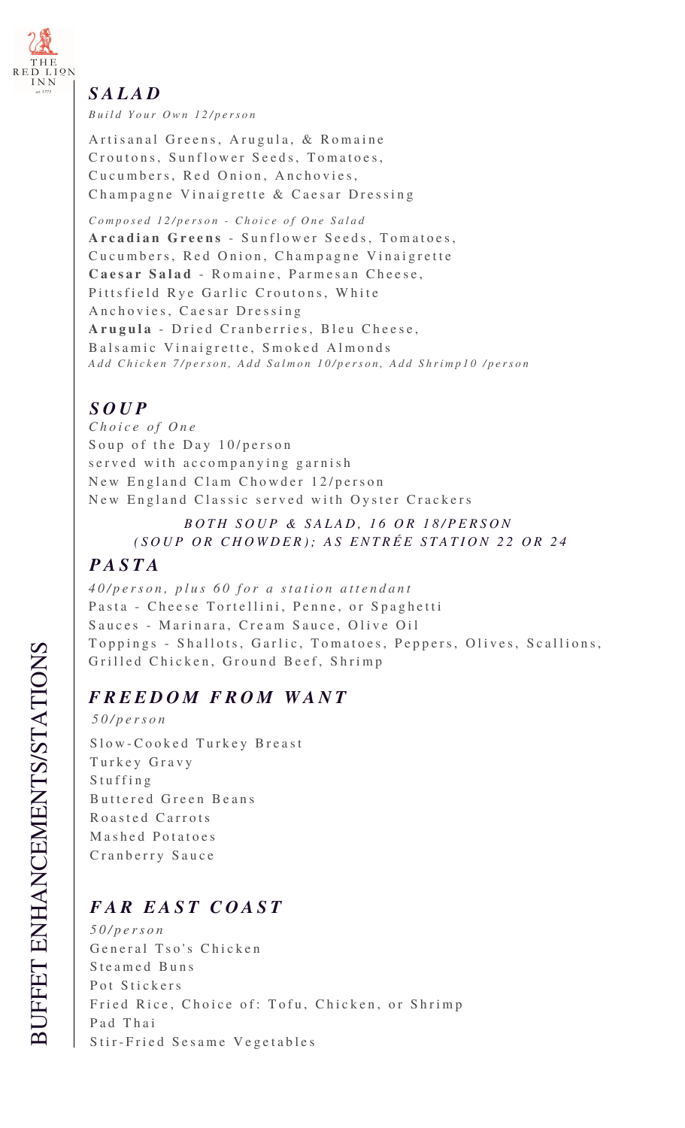

#### *S A L A D*

*B u i l d Y o u r O w n 1 2 / p e r s o n*

Artisanal Greens, Arugula, & Romaine Croutons, Sunflower Seeds, Tomatoes, Cucumbers, Red Onion, Anchovies, Champagne Vinaigrette & Caesar Dressing

*C o m p o s e d 1 2 / p e r s o n - C h o i c e o f O n e S a l a d* Arcadian Greens - Sunflower Seeds, Tomatoes, Cucumbers, Red Onion, Champagne Vinaigrette Caesar Salad - Romaine, Parmesan Cheese, Pittsfield Rye Garlic Croutons, White Anchovies, Caesar Dressing Arugula - Dried Cranberries, Bleu Cheese, Balsamic Vinaigrette, Smoked Almonds Add Chicken 7/person, Add Salmon 10/person, Add Shrimp10 /person

## *S O U P*

*C h o i c e o f O n e* Soup of the Day 10/person s erved with accompanying garnish New England Clam Chowder 12/person New England Classic served with Oyster Crackers

#### *BOTH SOUP & SALAD, 16 OR 18/PERSON ( S O U P O R C H O W D E R ) ; A S E N T R É E S T A T I O N 2 2 O R 2 4*

#### *P A S T A*

*40/person, plus 60 for a station attendant* Pasta - Cheese Tortellini, Penne, or Spaghetti Sauces - Marinara, Cream Sauce, Olive Oil Toppings - Shallots, Garlic, Tomatoes, Peppers, Olives, Scallions, Grilled Chicken, Ground Beef, Shrimp

## $F$ *REEDOM FROM WANT*

*5 0 / p e r s o n* Slow-Cooked Turkey Breast Turkey Gravy S tu f f i n g Buttered Green Beans Roasted Carrots Mashed Potatoes Cranberry Sauce

# *F A R E A S T C O A S T*

*5 0 / p e r s o n* General Tso's Chicken Steamed Buns Pot Stickers Fried Rice, Choice of: Tofu, Chicken, or Shrimp Pad Thai Stir-Fried Sesame Vegetables